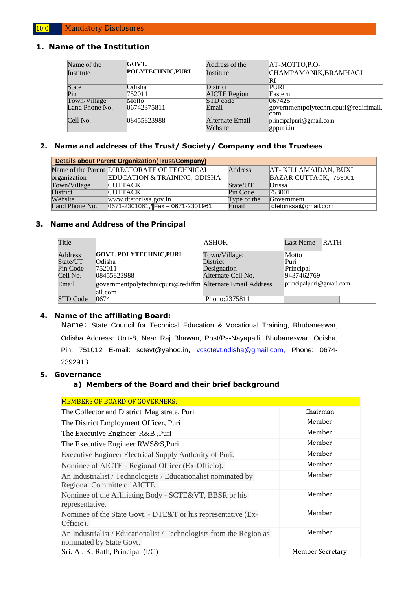### **1. Name of the Institution**

| Name of the    | GOVT.             | Address of the      | AT-MOTTO, P.O-                        |
|----------------|-------------------|---------------------|---------------------------------------|
| Institute      | POLYTECHNIC, PURI | Institute           | CHAMPAMANIK, BRAMHAGI                 |
|                |                   |                     | RI                                    |
| <b>State</b>   | Odisha            | <b>District</b>     | PURI                                  |
| Pin            | 752011            | <b>AICTE Region</b> | Eastern                               |
| Town/Village   | Motto             | STD code            | 067425                                |
| Land Phone No. | 06742375811       | Email               | governmentpolytechnicpuri@rediffmail. |
|                |                   |                     | lcom.                                 |
| Cell No.       | 08455823988       | Alternate Email     | principalpuri@gmail.com               |
|                |                   | Website             | gppuri.in                             |

#### **2. Name and address of the Trust/ Society/ Company and the Trustees**

| Details about Parent Organization (Trust/Company) |                                             |                |                       |  |  |  |  |  |
|---------------------------------------------------|---------------------------------------------|----------------|-----------------------|--|--|--|--|--|
|                                                   | Name of the Parent DIRECTORATE OF TECHNICAL | <b>Address</b> | AT-KILLAMAIDAN, BUXI  |  |  |  |  |  |
| organization                                      | EDUCATION & TRAINING, ODISHA                |                | BAZAR CUTTACK, 753001 |  |  |  |  |  |
| Town/Village                                      | <b>CUTTACK</b>                              | State/UT       | <b>Orissa</b>         |  |  |  |  |  |
| <b>District</b>                                   | <b>CUTTACK</b>                              | Pin Code       | 753001                |  |  |  |  |  |
| Website                                           | www.dtetorissa.gov.in                       | Type of the    | Government            |  |  |  |  |  |
| Land Phone No.                                    | 0671-2301061, Fax - 0671-2301961            | Email          | dtetorissa@gmail.com  |  |  |  |  |  |

#### **3. Name and Address of the Principal**

| Title           |                                                                      | <b>ASHOK</b>       | <b>RATH</b><br>Last Name |
|-----------------|----------------------------------------------------------------------|--------------------|--------------------------|
| Address         | <b>GOVT. POLYTECHNIC.PURI</b>                                        | Town/Village;      | Motto                    |
| State/UT        | Odisha                                                               | District           | Puri                     |
| Pin Code        | 1752011                                                              | Designation        | Principal                |
| Cell No.        | 08455823988                                                          | Alternate Cell No. | 9437462769               |
| Email           | governmentpolytechnicpuri@rediffm Alternate Email Address<br>ail.com |                    | principalpuri@gmail.com  |
| <b>STD Code</b> | 0674                                                                 | Phono:2375811      |                          |

#### **4. Name of the affiliating Board:**

Name: State Council for Technical Education & Vocational Training, Bhubaneswar, Odisha. Address: Unit-8, Near Raj Bhawan, Post/Ps-Nayapalli, Bhubaneswar, Odisha, Pin: 751012 E-mail: [sctevt@yahoo.in,](mailto:sctevt@yahoo.in) [vcsctevt.odisha@gmail.com,](mailto:vcsctevt.odisha@gmail.com,) Phone: 0674-2392913.

#### **5. Governance**

#### **a) Members of the Board and their brief background**

| <b>MEMBERS OF BOARD OF GOVERNERS:</b>                                                            |                  |
|--------------------------------------------------------------------------------------------------|------------------|
| The Collector and District Magistrate, Puri                                                      | Chairman         |
| The District Employment Officer, Puri                                                            | Member           |
| The Executive Engineer R&B, Puri                                                                 | Member           |
| The Executive Engineer RWS&S, Puri                                                               | Member           |
| Executive Engineer Electrical Supply Authority of Puri.                                          | Member           |
| Nominee of AICTE - Regional Officer (Ex-Officio).                                                | Member           |
| An Industrialist / Technologists / Educationalist nominated by<br>Regional Committe of AICTE.    | Member           |
| Nominee of the Affiliating Body - SCTE&VT, BBSR or his<br>representative.                        | Member           |
| Nominee of the State Govt. - DTE&T or his representative (Ex-<br>Officio).                       | Member           |
| An Industrialist / Educationalist / Technologists from the Region as<br>nominated by State Govt. | Member           |
| Sri. A. K. Rath, Principal (I/C)                                                                 | Member Secretary |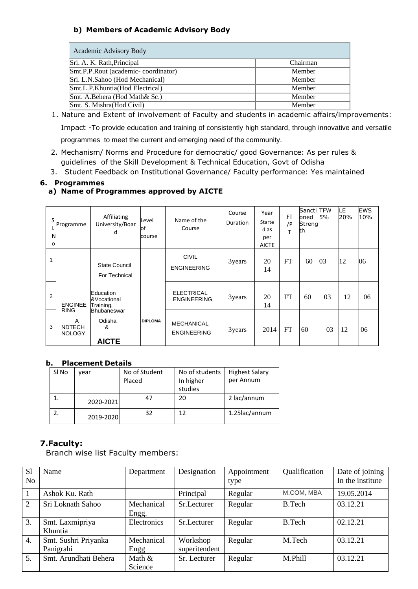## **b) Members of Academic Advisory Body**

| Academic Advisory Body              |          |
|-------------------------------------|----------|
| Sri. A. K. Rath, Principal          | Chairman |
| Smt.P.P.Rout (academic-coordinator) | Member   |
| Sri. L.N.Sahoo (Hod Mechanical)     | Member   |
| Smt.L.P.Khuntia(Hod Electrical)     | Member   |
| Smt. A.Behera (Hod Math& Sc.)       | Member   |
| Smt. S. Mishra (Hod Civil)          | Member   |

1. Nature and Extent of involvement of Faculty and students in academic affairs/improvements: Impact -To provide education and training of consistently high standard, through innovative and versatile

programmes to meet the current and emerging need of the community.

- 2. Mechanism/ Norms and Procedure for democratic/ good Governance: As per rules & guidelines of the Skill Development & Technical Education, Govt of Odisha
- 3. Student Feedback on Institutional Governance/ Faculty performance: Yes maintained

## **6. Programmes**

## **a) Name of Programmes approved by AICTE**

| S<br>۱.<br>N<br>$\circ$ | Programme                                          | Affiliating<br>University/Boar<br>d               | Level<br>оf<br>course | Name of the<br>Course                   | Course<br>Duration | Year<br>Starte<br>d as<br>per<br><b>AICTE</b> | FT<br>/P<br>T | Sancti TFW<br>oned<br>Streng<br>th | 5% | LE.<br>20% | <b>EWS</b><br>10% |
|-------------------------|----------------------------------------------------|---------------------------------------------------|-----------------------|-----------------------------------------|--------------------|-----------------------------------------------|---------------|------------------------------------|----|------------|-------------------|
| 1                       |                                                    | <b>State Council</b><br>For Technical             |                       | <b>CIVIL</b><br><b>ENGINEERING</b>      | 3years             | 20<br>14                                      | FT            | 60                                 | 03 | 12         | 06                |
| 2                       | <b>ENGINEE</b>                                     | Education<br>&Vocational<br>Training,             |                       | <b>ELECTRICAL</b><br><b>ENGINEERING</b> | 3years             | 20<br>14                                      | FT            | 60                                 | 03 | 12         | 06                |
| 3                       | <b>RING</b><br>A<br><b>NDTECH</b><br><b>NOLOGY</b> | <b>Bhubaneswar</b><br>Odisha<br>&<br><b>AICTE</b> | <b>DIPLOMA</b>        | <b>MECHANICAL</b><br><b>ENGINEERING</b> | 3years             | 2014                                          | FT            | 60                                 | 03 | 12         | 06                |

#### **b. Placement Details**

| SI No | vear      | No of Student<br>Placed | No of students<br>In higher<br>studies | <b>Highest Salary</b><br>per Annum |
|-------|-----------|-------------------------|----------------------------------------|------------------------------------|
|       | 2020-2021 | 47                      | 20                                     | 2 lac/annum                        |
|       | 2019-2020 | 32                      | 12                                     | 1.25lac/annum                      |

# **7.Faculty:**

Branch wise list Faculty members:

| S <sub>1</sub>   | Name                  | Department  | Designation   | Appointment | Qualification | Date of joining  |
|------------------|-----------------------|-------------|---------------|-------------|---------------|------------------|
| No.              |                       |             |               | type        |               | In the institute |
|                  | Ashok Ku. Rath        |             | Principal     | Regular     | M.COM, MBA    | 19.05.2014       |
| 2                | Sri Loknath Sahoo     | Mechanical  | Sr.Lecturer   | Regular     | B.Tech        | 03.12.21         |
|                  |                       | Engg.       |               |             |               |                  |
| 3.               | Smt. Laxmipriya       | Electronics | Sr.Lecturer   | Regular     | B.Tech        | 02.12.21         |
|                  | Khuntia               |             |               |             |               |                  |
| $\overline{4}$ . | Smt. Sushri Priyanka  | Mechanical  | Workshop      | Regular     | M.Tech        | 03.12.21         |
|                  | Panigrahi             | Engg        | superitendent |             |               |                  |
| 5.               | Smt. Arundhati Behera | Math $&$    | Sr. Lecturer  | Regular     | M.Phill       | 03.12.21         |
|                  |                       | Science     |               |             |               |                  |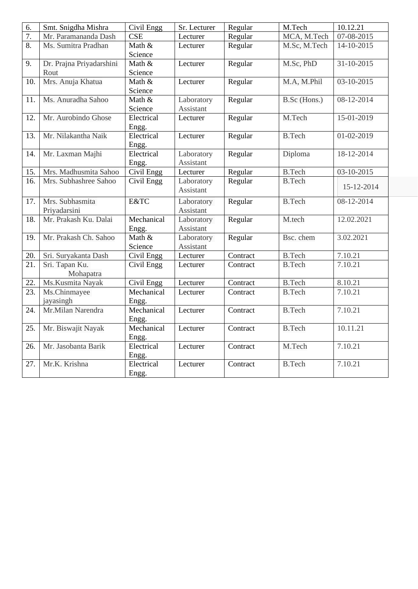| 6.               | Smt. Snigdha Mishra      | Civil Engg | Sr. Lecturer | Regular  | M.Tech        | 10.12.21   |
|------------------|--------------------------|------------|--------------|----------|---------------|------------|
| $\overline{7}$ . | Mr. Paramananda Dash     | <b>CSE</b> | Lecturer     | Regular  | MCA, M.Tech   | 07-08-2015 |
| $\overline{8}$ . | Ms. Sumitra Pradhan      | Math &     | Lecturer     | Regular  | M.Sc, M.Tech  | 14-10-2015 |
|                  |                          | Science    |              |          |               |            |
| 9.               | Dr. Prajna Priyadarshini | Math &     | Lecturer     | Regular  | M.Sc, PhD     | 31-10-2015 |
|                  | Rout                     | Science    |              |          |               |            |
| 10.              | Mrs. Anuja Khatua        | Math &     | Lecturer     | Regular  | M.A, M.Phil   | 03-10-2015 |
|                  |                          | Science    |              |          |               |            |
| 11.              | Ms. Anuradha Sahoo       | Math &     | Laboratory   | Regular  | B.Sc (Hons.)  | 08-12-2014 |
|                  |                          | Science    | Assistant    |          |               |            |
| 12.              | Mr. Aurobindo Ghose      | Electrical | Lecturer     | Regular  | M.Tech        | 15-01-2019 |
|                  |                          | Engg.      |              |          |               |            |
| 13.              | Mr. Nilakantha Naik      | Electrical | Lecturer     | Regular  | <b>B.Tech</b> | 01-02-2019 |
|                  |                          | Engg.      |              |          |               |            |
| 14.              | Mr. Laxman Majhi         | Electrical | Laboratory   | Regular  | Diploma       | 18-12-2014 |
|                  |                          | Engg.      | Assistant    |          |               |            |
| 15.              | Mrs. Madhusmita Sahoo    | Civil Engg | Lecturer     | Regular  | <b>B.Tech</b> | 03-10-2015 |
| 16.              | Mrs. Subhashree Sahoo    | Civil Engg | Laboratory   | Regular  | <b>B.Tech</b> | 15-12-2014 |
|                  |                          |            | Assistant    |          |               |            |
| 17.              | Mrs. Subhasmita          | E&TC       | Laboratory   | Regular  | <b>B.Tech</b> | 08-12-2014 |
|                  | Priyadarsini             |            | Assistant    |          |               |            |
| 18.              | Mr. Prakash Ku. Dalai    | Mechanical | Laboratory   | Regular  | M.tech        | 12.02.2021 |
|                  |                          | Engg.      | Assistant    |          |               |            |
| 19.              | Mr. Prakash Ch. Sahoo    | Math $&$   | Laboratory   | Regular  | Bsc. chem     | 3.02.2021  |
|                  |                          | Science    | Assistant    |          |               |            |
| 20.              | Sri. Suryakanta Dash     | Civil Engg | Lecturer     | Contract | <b>B.Tech</b> | 7.10.21    |
| 21.              | Sri. Tapan Ku.           | Civil Engg | Lecturer     | Contract | <b>B.Tech</b> | 7.10.21    |
|                  | Mohapatra                |            |              |          |               |            |
| 22.              | Ms.Kusmita Nayak         | Civil Engg | Lecturer     | Contract | <b>B.Tech</b> | 8.10.21    |
| 23.              | Ms.Chinmayee             | Mechanical | Lecturer     | Contract | <b>B.Tech</b> | 7.10.21    |
|                  | jayasingh                | Engg.      |              |          |               |            |
| 24.              | Mr.Milan Narendra        | Mechanical | Lecturer     | Contract | <b>B.Tech</b> | 7.10.21    |
|                  |                          | Engg.      |              |          |               |            |
| 25.              | Mr. Biswajit Nayak       | Mechanical | Lecturer     | Contract | <b>B.Tech</b> | 10.11.21   |
|                  |                          | Engg.      |              |          |               |            |
| 26.              | Mr. Jasobanta Barik      | Electrical | Lecturer     | Contract | M.Tech        | 7.10.21    |
|                  |                          | Engg.      |              |          |               |            |
| 27.              | Mr.K. Krishna            | Electrical | Lecturer     | Contract | <b>B.Tech</b> | 7.10.21    |
|                  |                          | Engg.      |              |          |               |            |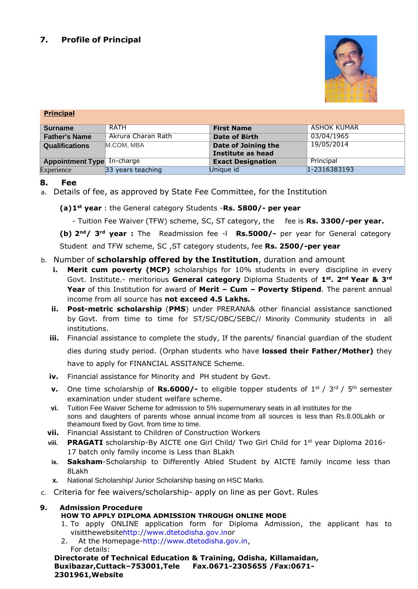

#### **Principal**

| <b>Surname</b>                    | RATH               | <b>First Name</b>        | ASHOK KUMAR  |
|-----------------------------------|--------------------|--------------------------|--------------|
| <b>Father's Name</b>              | Akrura Charan Rath | Date of Birth            | 03/04/1965   |
| <b>Qualifications</b>             | M.COM, MBA         | Date of Joining the      | 19/05/2014   |
|                                   |                    | Institute as head        |              |
| <b>Appointment Type In-charge</b> |                    | <b>Exact Designation</b> | Principal    |
| Experience                        | 33 years teaching  | Unique id                | 1-2316383193 |

## **8. Fee**

a. Details of fee, as approved by State Fee Committee, for the Institution

**(a)1st year** : the General category Students -**Rs. 5800/- per year**

- Tuition Fee Waiver (TFW) scheme, SC, ST category, the fee is **Rs. 3300/-per year.**

**(b) 2nd/ 3rd year :** The Readmission fee -l **Rs.5000/-** per year for General category Student and TFW scheme, SC ,ST category students, fee **Rs. 2500/-per year**

## b. Number of **scholarship offered by the Institution**, duration and amount

- **i. Merit cum poverty (MCP)** scholarships for 10% students in every discipline in every Govt. Institute.- meritorious **General category** Diploma Students of **1st. 2nd Year & 3rd Year** of this Institution for award of **Merit – Cum – Poverty Stipend**. The parent annual income from all source has **not exceed 4.5 Lakhs.**
- **ii. Post-metric scholarship** (**PMS**) under PRERANA& other financial assistance sanctioned by Govt. from time to time for ST/SC/OBC/SEBC// Minority Community students in all institutions.
- **iii.** Financial assistance to complete the study, If the parents/ financial quardian of the student dies during study period. (Orphan students who have **lossed their Father/Mother)** they

have to apply for FINANCIAL ASSITANCE Scheme.

- **iv.** Financial assistance for Minority and PH student by Govt.
- **v.** One time scholarship of **Rs.6000/-** to eligible topper students of 1<sup>st</sup> / 3<sup>rd</sup> / 5<sup>th</sup> semester examination under student welfare scheme.
- **vi.** Tuition Fee Waiver Scheme for admission to 5% supernumerary seats in all institutes for the sons and daughters of parents whose annual income from all sources is less than Rs.8.00Lakh or theamount fixed by Govt. from time to time.
- **vii.** Financial Assistant to Children of Construction Workers
- viii. PRAGATI scholarship-By AICTE one Girl Child/ Two Girl Child for 1<sup>st</sup> year Diploma 2016-17 batch only family income is Less than 8Lakh
- **ix. Saksham**-Scholarship to Differently Abled Student by AICTE family income less than 8Lakh
- **x.** National Scholarship/ Junior Scholarship basing on HSC Marks.
- c. Criteria for fee waivers/scholarship- apply on line as per Govt. Rules

## **9. Admission Procedure**

## **HOW TO APPLY DIPLOMA ADMISSION THROUGH ONLINE MODE**

- 1. To apply ONLINE application form for Diploma Admission, the applicant has to visitthewebsit[ehttp://www.dtetodisha.gov.ino](http://www.dtetodisha.gov.in/)r
- 2. At the Homepage[-http://www.dtetodisha.gov.in,](http://www.dtetodisha.gov.in/) For details:

**Directorate of Technical Education & Training, Odisha, Killamaidan, Buxibazar,Cuttack–753001,Tele Fax.0671-2305655 /Fax:0671- 2301961,Website**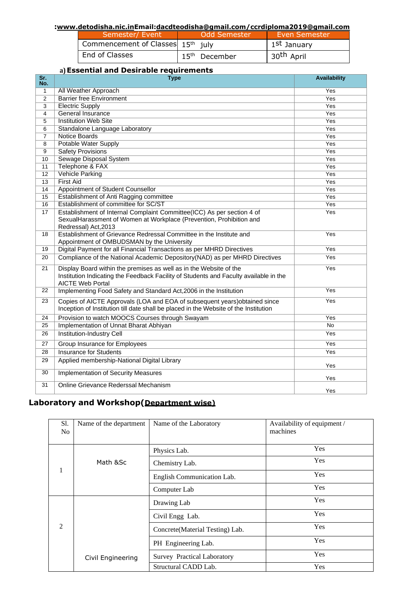#### **:[www.detodisha.nic.inE](http://www.detodisha.nic.in/)mail[:dacdteodisha@gmail.com](mailto:dacdteodisha@gmail.com)[/ccrdiploma2019@gmail.com](mailto:/ccrdiploma2019@gmail.com)**

| Semester/ Event                   | Odd Semester    | Even Semester           |
|-----------------------------------|-----------------|-------------------------|
| Commencement of Classes 15th july |                 | 1 <sup>st</sup> January |
| End of Classes                    | $15th$ December | 30 <sup>th</sup> April  |

#### **a)Essential and Desirable requirements**

| $\overline{\text{Sr.}}$<br>No. | <u>sentra: and sesnasie i e</u><br><b>Type</b>                                                                                                                                         | <b>Availability</b> |
|--------------------------------|----------------------------------------------------------------------------------------------------------------------------------------------------------------------------------------|---------------------|
| $\mathbf{1}$                   | All Weather Approach                                                                                                                                                                   | Yes                 |
| $\overline{2}$                 | <b>Barrier free Environment</b>                                                                                                                                                        | Yes                 |
| $\overline{\overline{3}}$      | <b>Electric Supply</b>                                                                                                                                                                 | Yes                 |
| 4                              | <b>General Insurance</b>                                                                                                                                                               | Yes                 |
| 5                              | <b>Institution Web Site</b>                                                                                                                                                            | Yes                 |
| 6                              | Standalone Language Laboratory                                                                                                                                                         | Yes                 |
| $\overline{7}$                 | Notice Boards                                                                                                                                                                          | Yes                 |
| 8                              | <b>Potable Water Supply</b>                                                                                                                                                            | Yes                 |
| $\overline{9}$                 | <b>Safety Provisions</b>                                                                                                                                                               | Yes                 |
| 10                             | <b>Sewage Disposal System</b>                                                                                                                                                          | Yes                 |
| 11                             | Telephone & FAX                                                                                                                                                                        | Yes                 |
| $\overline{12}$                | <b>Vehicle Parking</b>                                                                                                                                                                 | Yes                 |
| $\overline{13}$                | <b>First Aid</b>                                                                                                                                                                       | Yes                 |
| 14                             | Appointment of Student Counsellor                                                                                                                                                      | Yes                 |
| 15                             | Establishment of Anti Ragging committee                                                                                                                                                | Yes                 |
| 16                             | Establishment of committee for SC/ST                                                                                                                                                   | Yes                 |
| 17                             | Establishment of Internal Complaint Committee(ICC) As per section 4 of<br>SexualHarassment of Women at Workplace (Prevention, Prohibition and<br>Redressal) Act, 2013                  | Yes                 |
| 18                             | Establishment of Grievance Redressal Committee in the Institute and<br>Appointment of OMBUDSMAN by the University                                                                      | Yes                 |
| 19                             | Digital Payment for all Financial Transactions as per MHRD Directives                                                                                                                  | Yes                 |
| 20                             | Compliance of the National Academic Depository (NAD) as per MHRD Directives                                                                                                            | Yes                 |
| 21                             | Display Board within the premises as well as in the Website of the<br>Institution Indicating the Feedback Facility of Students and Faculty available in the<br><b>AICTE Web Portal</b> | Yes                 |
| 22                             | Implementing Food Safety and Standard Act, 2006 in the Institution                                                                                                                     | Yes                 |
| 23                             | Copies of AICTE Approvals (LOA and EOA of subsequent years) obtained since<br>Inception of Institution till date shall be placed in the Website of the Institution                     | Yes                 |
| 24                             | Provision to watch MOOCS Courses through Swayam                                                                                                                                        | Yes                 |
| 25                             | Implementation of Unnat Bharat Abhiyan                                                                                                                                                 | No                  |
| 26                             | Institution-Industry Cell                                                                                                                                                              | Yes                 |
| 27                             | Group Insurance for Employees                                                                                                                                                          | Yes                 |
| 28                             | <b>Insurance for Students</b>                                                                                                                                                          | Yes                 |
| 29                             | Applied membership-National Digital Library                                                                                                                                            | Yes                 |
| 30                             | <b>Implementation of Security Measures</b>                                                                                                                                             | Yes                 |
| 31                             | Online Grievance Rederssal Mechanism                                                                                                                                                   | Yes                 |

# **Laboratory and Workshop(Department wise)**

| Sl.            | Name of the department | Name of the Laboratory             | Availability of equipment / |
|----------------|------------------------|------------------------------------|-----------------------------|
| N <sub>0</sub> |                        |                                    | machines                    |
|                |                        | Physics Lab.                       | Yes                         |
|                | Math ⪼                 | Chemistry Lab.                     | Yes                         |
|                |                        | English Communication Lab.         | Yes                         |
|                |                        | Computer Lab                       | Yes                         |
| $\mathfrak{D}$ |                        | Drawing Lab                        | Yes                         |
|                |                        | Civil Engg Lab.                    | Yes                         |
|                |                        | Concrete (Material Testing) Lab.   | Yes                         |
|                |                        | PH Engineering Lab.                | Yes                         |
|                | Civil Engineering      | <b>Survey Practical Laboratory</b> | Yes                         |
|                |                        | Structural CADD Lab.               | Yes                         |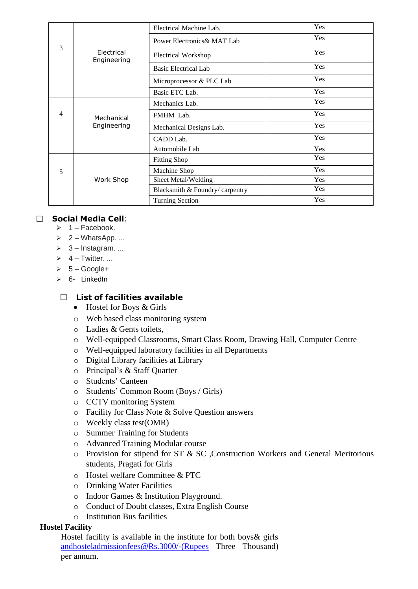| 3 | Electrical<br>Engineering | Electrical Machine Lab.         | Yes |
|---|---------------------------|---------------------------------|-----|
|   |                           | Power Electronics & MAT Lab     | Yes |
|   |                           | <b>Electrical Workshop</b>      | Yes |
|   |                           | <b>Basic Electrical Lab</b>     | Yes |
|   |                           | Microprocessor & PLC Lab        | Yes |
|   |                           | Basic ETC Lab.                  | Yes |
| 4 | Mechanical<br>Engineering | Mechanics Lab.                  | Yes |
|   |                           | FMHM Lab.                       | Yes |
|   |                           | Mechanical Designs Lab.         | Yes |
|   |                           | CADD Lab.                       | Yes |
|   |                           | Automobile Lab                  | Yes |
| 5 | Work Shop                 | <b>Fitting Shop</b>             | Yes |
|   |                           | Machine Shop                    | Yes |
|   |                           | Sheet Metal/Welding             | Yes |
|   |                           | Blacksmith & Foundry/ carpentry | Yes |
|   |                           | <b>Turning Section</b>          | Yes |

# **Social Media Cell**:

- $\geq 1$  Facebook.
- $\geq 2 \text{WhatsApp.}$ ...
- $\geq 3$  Instagram. ...
- $\geq 4 -$  Twitter. ...
- $\geq 5 Google+$
- ➢ 6- [LinkedIn](https://whatis.techtarget.com/definition/LinkedIn)

# **List of facilities available**

- Hostel for Boys & Girls
- o Web based class monitoring system
- o Ladies & Gents toilets,
- o Well-equipped Classrooms, Smart Class Room, Drawing Hall, Computer Centre
- o Well-equipped laboratory facilities in all Departments
- o Digital Library facilities at Library
- o Principal's & Staff Quarter
- o Students' Canteen
- o Students' Common Room (Boys / Girls)
- o CCTV monitoring System
- o Facility for Class Note & Solve Question answers
- o Weekly class test(OMR)
- o Summer Training for Students
- o Advanced Training Modular course
- o Provision for stipend for ST & SC ,Construction Workers and General Meritorious students, Pragati for Girls
- o Hostel welfare Committee & PTC
- o Drinking Water Facilities
- o Indoor Games & Institution Playground.
- o Conduct of Doubt classes, Extra English Course
- $\circ$  Institution Bus facilities

## **Hostel Facility**

 Hostel facility is available in the institute for both boys& girls [andhosteladmissionfees@Rs.3000/-\(Rupees](mailto:andhosteladmissionfees@Rs.3000/-(Rupees) Three Thousand) per annum.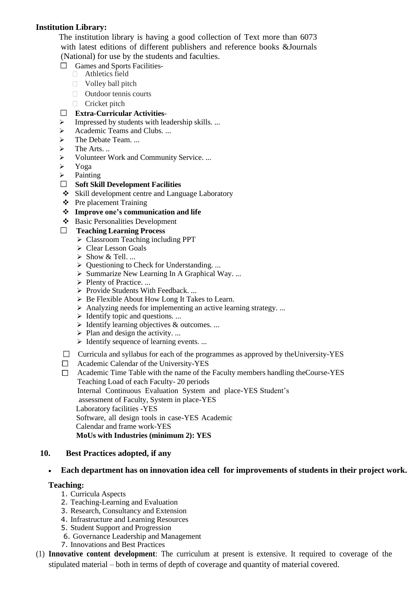# **Institution Library:**

 The institution library is having a good collection of Text more than 6073 with latest editions of different publishers and reference books &Journals (National) for use by the students and faculties.

- $\Box$  Games and Sports Facilities-
	- $\Box$  Athletics field
	- □ Volley ball pitch
	- Outdoor tennis courts
	- Cricket pitch

## **Extra-Curricular Activities**-

- ➢ Impressed by students with leadership skills. ...
- ➢ Academic Teams and Clubs. ...
- > The Debate Team. ...
- $\triangleright$  The Arts...
- ➢ Volunteer Work and Community Service. ...
- ➢ Yoga
- ➢ Painting
- **Soft Skill Development Facilities**
- ❖ Skill development centre and Language Laboratory
- ❖ Pre placement Training
- ❖ **Improve one's communication and life**
- ❖ Basic Personalities Development

### **Teaching Learning Process**

- ➢ Classroom Teaching including PPT
- ➢ Clear Lesson Goals
- $\triangleright$  Show & Tell. ...
- ➢ Questioning to Check for Understanding. ...
- ➢ Summarize New Learning In A Graphical Way. ...
- ➢ Plenty of Practice. ...
- ➢ Provide Students With Feedback. ...
- ➢ Be Flexible About How Long It Takes to Learn.
- $\triangleright$  Analyzing needs for implementing an active learning strategy. ...
- $\triangleright$  Identify topic and questions. ...
- $\triangleright$  Identify learning objectives & outcomes. ...
- $\triangleright$  Plan and design the activity. ...
- $\triangleright$  Identify sequence of learning events. ...
- $\Box$  Curricula and syllabus for each of the programmes as approved by the University-YES
- Academic Calendar of the University-YES
- $\Box$  Academic Time Table with the name of the Faculty members handling the Course-YES Teaching Load of each Faculty- 20 periods Internal Continuous Evaluation System and place-YES Student's assessment of Faculty, System in place-YES Laboratory facilities -YES Software, all design tools in case-YES Academic Calendar and frame work-YES **MoUs with Industries (minimum 2): YES**

### **10. Best Practices adopted, if any**

## • **Each department has on innovation idea cell for improvements of students in their project work.**

#### **Teaching:**

- 1. Curricula Aspects
- 2. Teaching-Learning and Evaluation
- 3. Research, Consultancy and Extension
- 4. Infrastructure and Learning Resources
- 5. Student Support and Progression
- 6. Governance Leadership and Management
- 7. Innovations and Best Practices
- (1) **Innovative content development**: The curriculum at present is extensive. It required to coverage of the stipulated material – both in terms of depth of coverage and quantity of material covered.